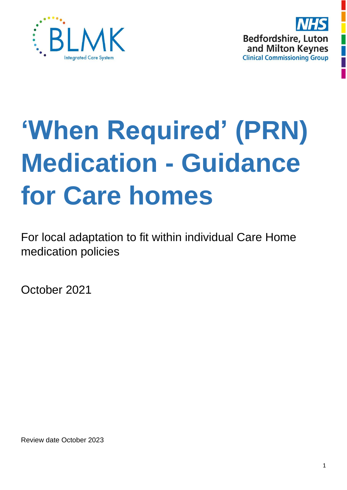



# **'When Required' (PRN) Medication - Guidance for Care homes**

For local adaptation to fit within individual Care Home medication policies

October 2021

Review date October 2023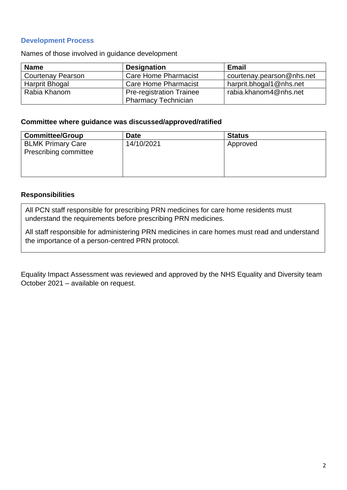#### **Development Process**

Names of those involved in guidance development

| <b>Name</b>              | <b>Designation</b>              | <b>Email</b>              |
|--------------------------|---------------------------------|---------------------------|
| <b>Courtenay Pearson</b> | Care Home Pharmacist            | courtenay.pearson@nhs.net |
| <b>Harprit Bhogal</b>    | Care Home Pharmacist            | harprit.bhogal1@nhs.net   |
| Rabia Khanom             | <b>Pre-registration Trainee</b> | rabia.khanom4@nhs.net     |
|                          | <b>Pharmacy Technician</b>      |                           |

#### **Committee where guidance was discussed/approved/ratified**

| <b>Committee/Group</b>                            | <b>Date</b> | <b>Status</b> |
|---------------------------------------------------|-------------|---------------|
| <b>BLMK Primary Care</b><br>Prescribing committee | 14/10/2021  | Approved      |

#### **Responsibilities**

All PCN staff responsible for prescribing PRN medicines for care home residents must understand the requirements before prescribing PRN medicines.

All staff responsible for administering PRN medicines in care homes must read and understand the importance of a person-centred PRN protocol.

Equality Impact Assessment was reviewed and approved by the NHS Equality and Diversity team October 2021 – available on request.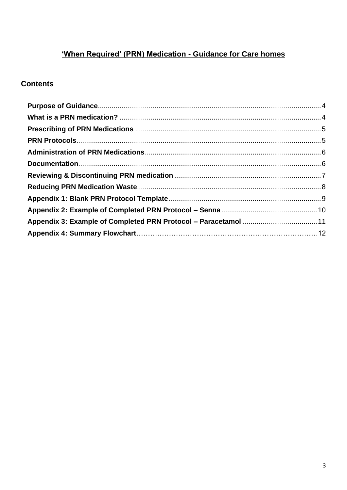# 'When Required' (PRN) Medication - Guidance for Care homes

## **Contents**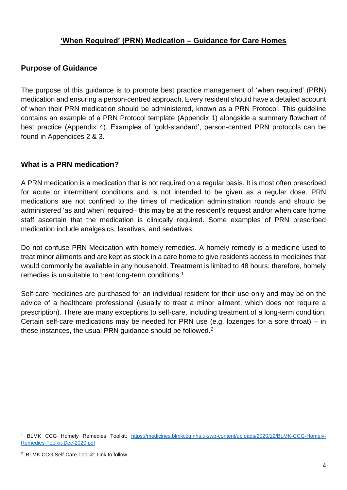## **'When Required' (PRN) Medication – Guidance for Care Homes**

#### **Purpose of Guidance**

The purpose of this guidance is to promote best practice management of 'when required' (PRN) medication and ensuring a person-centred approach. Every resident should have a detailed account of when their PRN medication should be administered, known as a PRN Protocol. This guideline contains an example of a PRN Protocol template (Appendix 1) alongside a summary flowchart of best practice (Appendix 4). Examples of 'gold-standard', person-centred PRN protocols can be found in Appendices 2 & 3.

#### **What is a PRN medication?**

A PRN medication is a medication that is not required on a regular basis. It is most often prescribed for acute or intermittent conditions and is not intended to be given as a regular dose. PRN medications are not confined to the times of medication administration rounds and should be administered 'as and when' required– this may be at the resident's request and/or when care home staff ascertain that the medication is clinically required. Some examples of PRN prescribed medication include analgesics, laxatives, and sedatives.

Do not confuse PRN Medication with homely remedies. A homely remedy is a medicine used to treat minor ailments and are kept as stock in a care home to give residents access to medicines that would commonly be available in any household. Treatment is limited to 48 hours; therefore, homely remedies is unsuitable to treat long-term conditions. 1

Self-care medicines are purchased for an individual resident for their use only and may be on the advice of a healthcare professional (usually to treat a minor ailment, which does not require a prescription). There are many exceptions to self-care, including treatment of a long-term condition. Certain self-care medications may be needed for PRN use (e.g. lozenges for a sore throat) – in these instances, the usual PRN guidance should be followed.<sup>2</sup>

<sup>1</sup> BLMK CCG Homely Remedies Toolkit: [https://medicines.blmkccg.nhs.uk/wp-content/uploads/2020/12/BLMK-CCG-Homely-](https://medicines.blmkccg.nhs.uk/wp-content/uploads/2020/12/BLMK-CCG-Homely-Remedies-Toolkit-Dec-2020.pdf)[Remedies-Toolkit-Dec-2020.pdf](https://medicines.blmkccg.nhs.uk/wp-content/uploads/2020/12/BLMK-CCG-Homely-Remedies-Toolkit-Dec-2020.pdf)

<sup>2</sup> BLMK CCG Self-Care Toolkit: Link to follow.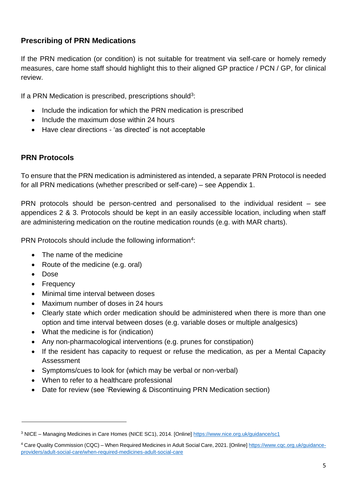# **Prescribing of PRN Medications**

If the PRN medication (or condition) is not suitable for treatment via self-care or homely remedy measures, care home staff should highlight this to their aligned GP practice / PCN / GP, for clinical review.

If a PRN Medication is prescribed, prescriptions should<sup>3</sup>:

- Include the indication for which the PRN medication is prescribed
- Include the maximum dose within 24 hours
- Have clear directions 'as directed' is not acceptable

#### **PRN Protocols**

To ensure that the PRN medication is administered as intended, a separate PRN Protocol is needed for all PRN medications (whether prescribed or self-care) – see Appendix 1.

PRN protocols should be person-centred and personalised to the individual resident – see appendices 2 & 3. Protocols should be kept in an easily accessible location, including when staff are administering medication on the routine medication rounds (e.g. with MAR charts).

PRN Protocols should include the following information<sup>4</sup>:

- The name of the medicine
- Route of the medicine (e.g. oral)
- Dose
- Frequency
- Minimal time interval between doses
- Maximum number of doses in 24 hours
- Clearly state which order medication should be administered when there is more than one option and time interval between doses (e.g. variable doses or multiple analgesics)
- What the medicine is for (indication)
- Any non-pharmacological interventions (e.g. prunes for constipation)
- If the resident has capacity to request or refuse the medication, as per a Mental Capacity Assessment
- Symptoms/cues to look for (which may be verbal or non-verbal)
- When to refer to a healthcare professional
- Date for review (see 'Reviewing & Discontinuing PRN Medication section)

<sup>3</sup> NICE – Managing Medicines in Care Homes (NICE SC1), 2014. [Online]<https://www.nice.org.uk/guidance/sc1>

<sup>4</sup> Care Quality Commission (CQC) – When Required Medicines in Adult Social Care, 2021. [Online[\] https://www.cqc.org.uk/guidance](https://www.cqc.org.uk/guidance-providers/adult-social-care/when-required-medicines-adult-social-care)[providers/adult-social-care/when-required-medicines-adult-social-care](https://www.cqc.org.uk/guidance-providers/adult-social-care/when-required-medicines-adult-social-care)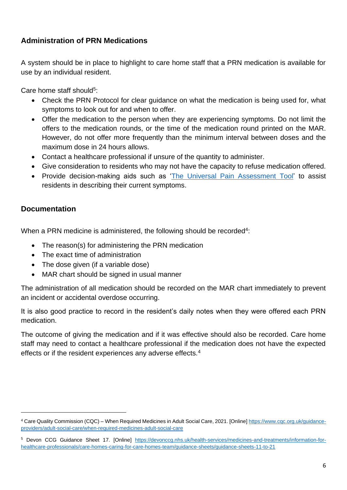# **Administration of PRN Medications**

A system should be in place to highlight to care home staff that a PRN medication is available for use by an individual resident.

Care home staff should<sup>5</sup>:

- Check the PRN Protocol for clear guidance on what the medication is being used for, what symptoms to look out for and when to offer.
- Offer the medication to the person when they are experiencing symptoms. Do not limit the offers to the medication rounds, or the time of the medication round printed on the MAR. However, do not offer more frequently than the minimum interval between doses and the maximum dose in 24 hours allows.
- Contact a healthcare professional if unsure of the quantity to administer.
- Give consideration to residents who may not have the capacity to refuse medication offered.
- Provide decision-making aids such as ['The Universal Pain Assessment Tool'](https://proceduresonline.com/trixcms1/media/1892/pain-assessment-tool1-2.pdf) to assist residents in describing their current symptoms.

## **Documentation**

When a PRN medicine is administered, the following should be recorded<sup>4</sup>:

- The reason(s) for administering the PRN medication
- The exact time of administration
- The dose given (if a variable dose)
- MAR chart should be signed in usual manner

The administration of all medication should be recorded on the MAR chart immediately to prevent an incident or accidental overdose occurring.

It is also good practice to record in the resident's daily notes when they were offered each PRN medication.

The outcome of giving the medication and if it was effective should also be recorded. Care home staff may need to contact a healthcare professional if the medication does not have the expected effects or if the resident experiences any adverse effects.<sup>4</sup>

<sup>4</sup> Care Quality Commission (CQC) – When Required Medicines in Adult Social Care, 2021. [Online[\] https://www.cqc.org.uk/guidance](https://www.cqc.org.uk/guidance-providers/adult-social-care/when-required-medicines-adult-social-care)[providers/adult-social-care/when-required-medicines-adult-social-care](https://www.cqc.org.uk/guidance-providers/adult-social-care/when-required-medicines-adult-social-care)

<sup>5</sup> Devon CCG Guidance Sheet 17. [Online] [https://devonccg.nhs.uk/health-services/medicines-and-treatments/information-for](https://devonccg.nhs.uk/health-services/medicines-and-treatments/information-for-healthcare-professionals/care-homes-caring-for-care-homes-team/guidance-sheets/guidance-sheets-11-to-21)[healthcare-professionals/care-homes-caring-for-care-homes-team/guidance-sheets/guidance-sheets-11-to-21](https://devonccg.nhs.uk/health-services/medicines-and-treatments/information-for-healthcare-professionals/care-homes-caring-for-care-homes-team/guidance-sheets/guidance-sheets-11-to-21)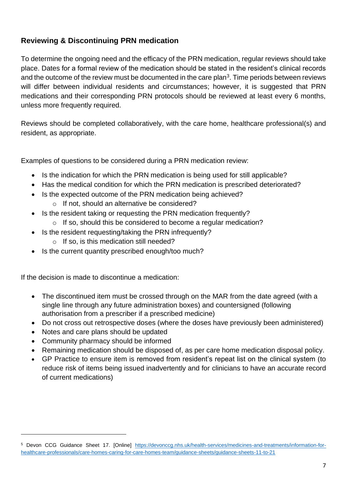# **Reviewing & Discontinuing PRN medication**

To determine the ongoing need and the efficacy of the PRN medication, regular reviews should take place. Dates for a formal review of the medication should be stated in the resident's clinical records and the outcome of the review must be documented in the care plan<sup>3</sup>. Time periods between reviews will differ between individual residents and circumstances; however, it is suggested that PRN medications and their corresponding PRN protocols should be reviewed at least every 6 months, unless more frequently required.

Reviews should be completed collaboratively, with the care home, healthcare professional(s) and resident, as appropriate.

Examples of questions to be considered during a PRN medication review:

- Is the indication for which the PRN medication is being used for still applicable?
- Has the medical condition for which the PRN medication is prescribed deteriorated?
- Is the expected outcome of the PRN medication being achieved?
	- o If not, should an alternative be considered?
- Is the resident taking or requesting the PRN medication frequently? o If so, should this be considered to become a regular medication?
- Is the resident requesting/taking the PRN infrequently?
	- o If so, is this medication still needed?
- Is the current quantity prescribed enough/too much?

If the decision is made to discontinue a medication:

- The discontinued item must be crossed through on the MAR from the date agreed (with a single line through any future administration boxes) and countersigned (following authorisation from a prescriber if a prescribed medicine)
- Do not cross out retrospective doses (where the doses have previously been administered)
- Notes and care plans should be updated
- Community pharmacy should be informed
- Remaining medication should be disposed of, as per care home medication disposal policy.
- GP Practice to ensure item is removed from resident's repeat list on the clinical system (to reduce risk of items being issued inadvertently and for clinicians to have an accurate record of current medications)

<sup>5</sup> Devon CCG Guidance Sheet 17. [Online] [https://devonccg.nhs.uk/health-services/medicines-and-treatments/information-for](https://devonccg.nhs.uk/health-services/medicines-and-treatments/information-for-healthcare-professionals/care-homes-caring-for-care-homes-team/guidance-sheets/guidance-sheets-11-to-21)[healthcare-professionals/care-homes-caring-for-care-homes-team/guidance-sheets/guidance-sheets-11-to-21](https://devonccg.nhs.uk/health-services/medicines-and-treatments/information-for-healthcare-professionals/care-homes-caring-for-care-homes-team/guidance-sheets/guidance-sheets-11-to-21)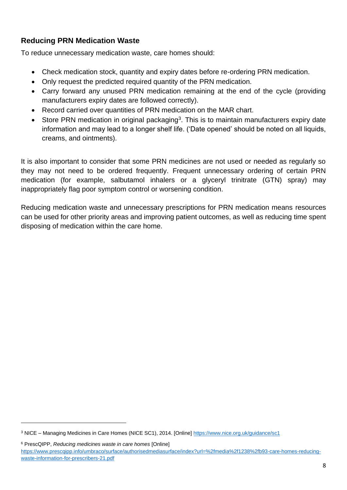# **Reducing PRN Medication Waste**

To reduce unnecessary medication waste, care homes should:

- Check medication stock, quantity and expiry dates before re-ordering PRN medication.
- Only request the predicted required quantity of the PRN medication.
- Carry forward any unused PRN medication remaining at the end of the cycle (providing manufacturers expiry dates are followed correctly).
- Record carried over quantities of PRN medication on the MAR chart.
- Store PRN medication in original packaging<sup>3</sup>. This is to maintain manufacturers expiry date information and may lead to a longer shelf life. ('Date opened' should be noted on all liquids, creams, and ointments).

It is also important to consider that some PRN medicines are not used or needed as regularly so they may not need to be ordered frequently. Frequent unnecessary ordering of certain PRN medication (for example, salbutamol inhalers or a glyceryl trinitrate (GTN) spray) may inappropriately flag poor symptom control or worsening condition.

Reducing medication waste and unnecessary prescriptions for PRN medication means resources can be used for other priority areas and improving patient outcomes, as well as reducing time spent disposing of medication within the care home.

<sup>3</sup> NICE – Managing Medicines in Care Homes (NICE SC1), 2014. [Online]<https://www.nice.org.uk/guidance/sc1>

<sup>6</sup> PrescQIPP, *Reducing medicines waste in care homes* [Online] [https://www.prescqipp.info/umbraco/surface/authorisedmediasurface/index?url=%2fmedia%2f1238%2fb93-care-homes-reducing](https://www.prescqipp.info/umbraco/surface/authorisedmediasurface/index?url=%2fmedia%2f1238%2fb93-care-homes-reducing-waste-information-for-prescribers-21.pdf)[waste-information-for-prescribers-21.pdf](https://www.prescqipp.info/umbraco/surface/authorisedmediasurface/index?url=%2fmedia%2f1238%2fb93-care-homes-reducing-waste-information-for-prescribers-21.pdf)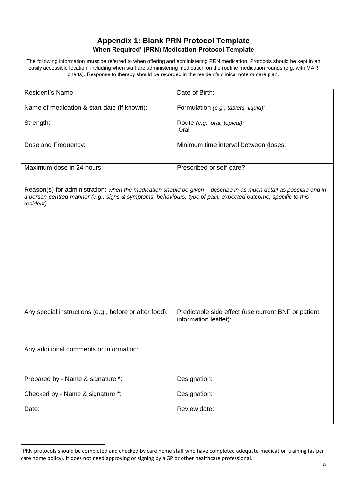#### **Appendix 1: Blank PRN Protocol Template When Required' (PRN) Medication Protocol Template**

The following information **must** be referred to when offering and administering PRN medication. Protocols should be kept in an easily accessible location, including when staff are administering medication on the routine medication rounds (e.g. with MAR charts). Response to therapy should be recorded in the resident's clinical note or care plan.

| Resident's Name:                                                                                                           | Date of Birth:                                                                                                    |
|----------------------------------------------------------------------------------------------------------------------------|-------------------------------------------------------------------------------------------------------------------|
| Name of medication & start date (if known):                                                                                | Formulation (e.g., tablets, liquid):                                                                              |
| Strength:                                                                                                                  | Route (e.g., oral, topical):<br>Oral                                                                              |
| Dose and Frequency:                                                                                                        | Minimum time interval between doses:                                                                              |
| Maximum dose in 24 hours:                                                                                                  | Prescribed or self-care?                                                                                          |
| a person-centred manner (e.g., signs & symptoms, behaviours, type of pain, expected outcome, specific to this<br>resident) | Reason(s) for administration: when the medication should be given - describe in as much detail as possible and in |
| Any special instructions (e.g., before or after food):                                                                     | Predictable side effect (use current BNF or patient<br>information leaflet):                                      |
| Any additional comments or information:                                                                                    |                                                                                                                   |
| Prepared by - Name & signature *:                                                                                          | Designation:                                                                                                      |
| Checked by - Name & signature *:                                                                                           | Designation:                                                                                                      |
| Date:                                                                                                                      | Review date:                                                                                                      |

<sup>\*</sup>PRN protocols should be completed and checked by care home staff who have completed adequate medication training (as per care home policy). It does not need approving or signing by a GP or other healthcare professional.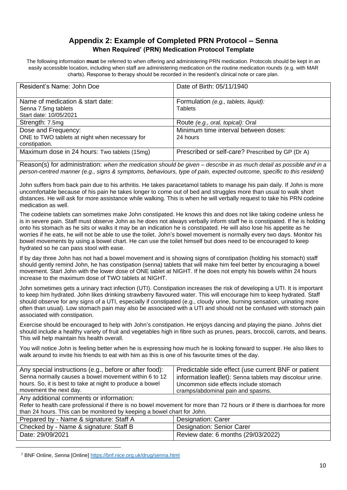#### **Appendix 2: Example of Completed PRN Protocol – Senna When Required' (PRN) Medication Protocol Template**

The following information **must** be referred to when offering and administering PRN medication. Protocols should be kept in an easily accessible location, including when staff are administering medication on the routine medication rounds (e.g. with MAR charts). Response to therapy should be recorded in the resident's clinical note or care plan.

| Resident's Name: John Doe                                                              | Date of Birth: 05/11/1940                              |
|----------------------------------------------------------------------------------------|--------------------------------------------------------|
| Name of medication & start date:<br>Senna 7.5mg tablets<br>Start date: 10/05/2021      | Formulation (e.g., tablets, liquid):<br><b>Tablets</b> |
| Strength: 7.5mg                                                                        | Route (e.g., oral, topical): Oral                      |
| Dose and Frequency:<br>ONE to TWO tablets at night when necessary for<br>constipation. | Minimum time interval between doses:<br>24 hours       |
| Maximum dose in 24 hours: Two tablets (15mg)                                           | Prescribed or self-care? Prescribed by GP (Dr A)       |

Reason(s) for administration: *when the medication should be given – describe in as much detail as possible and in a person-centred manner (e.g., signs & symptoms, behaviours, type of pain, expected outcome, specific to this resident)*

John suffers from back pain due to his arthritis. He takes paracetamol tablets to manage his pain daily. If John is more uncomfortable because of his pain he takes longer to come out of bed and struggles more than usual to walk short distances. He will ask for more assistance while walking. This is when he will verbally request to take his PRN codeine medication as well.

The codeine tablets can sometimes make John constipated. He knows this and does not like taking codeine unless he is in severe pain. Staff must observe John as he does not always verbally inform staff he is constipated. If he is holding onto his stomach as he sits or walks it may be an indication he is constipated. He will also lose his appetite as he worries if he eats, he will not be able to use the toilet. John's bowel movement is normally every two days. Monitor his bowel movements by using a bowel chart. He can use the toilet himself but does need to be encouraged to keep hydrated so he can pass stool with ease.

If by day three John has not had a bowel movement and is showing signs of constipation (holding his stomach) staff should gently remind John, he has constipation (senna) tablets that will make him feel better by encouraging a bowel movement. Start John with the lower dose of ONE tablet at NIGHT. If he does not empty his bowels within 24 hours increase to the maximum dose of TWO tablets at NIGHT.

John sometimes gets a urinary tract infection (UTI). Constipation increases the risk of developing a UTI. It is important to keep him hydrated. John likes drinking strawberry flavoured water. This will encourage him to keep hydrated. Staff should observe for any signs of a UTI, especially if constipated (e.g., cloudy urine, burning sensation, urinating more often than usual). Low stomach pain may also be associated with a UTI and should not be confused with stomach pain associated with constipation.

Exercise should be encouraged to help with John's constipation. He enjoys dancing and playing the piano. Johns diet should include a healthy variety of fruit and vegetables high in fibre such as prunes, pears, broccoli, carrots, and beans. This will help maintain his health overall.

You will notice John is feeling better when he is expressing how much he is looking forward to supper. He also likes to walk around to invite his friends to eat with him as this is one of his favourite times of the day.

| Any special instructions (e.g., before or after food):<br>Senna normally causes a bowel movement within 6 to 12<br>hours. So, it is best to take at night to produce a bowel<br>movement the next day. | Predictable side effect (use current BNF or patient<br>information leaflet): Senna tablets may discolour urine.<br>Uncommon side effects include stomach<br>cramps/abdominal pain and spasms. |
|--------------------------------------------------------------------------------------------------------------------------------------------------------------------------------------------------------|-----------------------------------------------------------------------------------------------------------------------------------------------------------------------------------------------|
| Any additional comments or information:                                                                                                                                                                |                                                                                                                                                                                               |
| Refer to health care professional if there is no bowel movement for more than 72 hours or if there is diarrhoea for more                                                                               |                                                                                                                                                                                               |
| than 24 hours. This can be monitored by keeping a bowel chart for John.                                                                                                                                |                                                                                                                                                                                               |
| Prepared by - Name & signature: Staff A                                                                                                                                                                | Designation: Carer                                                                                                                                                                            |
| Checked by - Name & signature: Staff B                                                                                                                                                                 | <b>Designation: Senior Carer</b>                                                                                                                                                              |
| Date: 29/09/2021                                                                                                                                                                                       | Review date: 6 months (29/03/2022)                                                                                                                                                            |
|                                                                                                                                                                                                        |                                                                                                                                                                                               |

<sup>7</sup> BNF Online, *Senna* [Online]<https://bnf.nice.org.uk/drug/senna.html>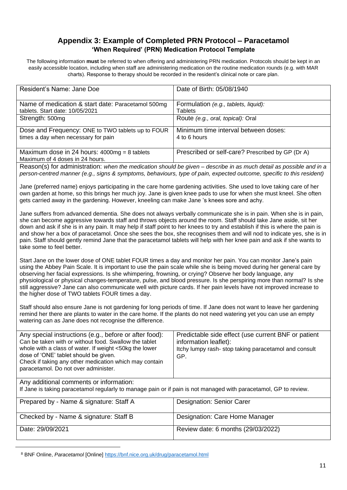#### **Appendix 3: Example of Completed PRN Protocol – Paracetamol 'When Required' (PRN) Medication Protocol Template**

The following information **must** be referred to when offering and administering PRN medication. Protocols should be kept in an easily accessible location, including when staff are administering medication on the routine medication rounds (e.g. with MAR charts). Response to therapy should be recorded in the resident's clinical note or care plan.

| Resident's Name: Jane Doe                                                                                                                                                                                                                                                                                                                                                                                                                                                                                                                                                                                                                                 | Date of Birth: 05/08/1940                                                                                                                    |  |
|-----------------------------------------------------------------------------------------------------------------------------------------------------------------------------------------------------------------------------------------------------------------------------------------------------------------------------------------------------------------------------------------------------------------------------------------------------------------------------------------------------------------------------------------------------------------------------------------------------------------------------------------------------------|----------------------------------------------------------------------------------------------------------------------------------------------|--|
| Name of medication & start date: Paracetamol 500mg<br>tablets. Start date: 10/05/2021                                                                                                                                                                                                                                                                                                                                                                                                                                                                                                                                                                     | Formulation (e.g., tablets, liquid):<br><b>Tablets</b>                                                                                       |  |
| Strength: 500mg                                                                                                                                                                                                                                                                                                                                                                                                                                                                                                                                                                                                                                           | Route (e.g., oral, topical): Oral                                                                                                            |  |
| Dose and Frequency: ONE to TWO tablets up to FOUR<br>times a day when necessary for pain                                                                                                                                                                                                                                                                                                                                                                                                                                                                                                                                                                  | Minimum time interval between doses:<br>4 to 6 hours                                                                                         |  |
| Maximum dose in 24 hours: $4000mg = 8$ tablets<br>Maximum of 4 doses in 24 hours.                                                                                                                                                                                                                                                                                                                                                                                                                                                                                                                                                                         | Prescribed or self-care? Prescribed by GP (Dr A)                                                                                             |  |
| Reason(s) for administration: when the medication should be given – describe in as much detail as possible and in a<br>person-centred manner (e.g., signs & symptoms, behaviours, type of pain, expected outcome, specific to this resident)                                                                                                                                                                                                                                                                                                                                                                                                              |                                                                                                                                              |  |
| Jane (preferred name) enjoys participating in the care home gardening activities. She used to love taking care of her<br>own garden at home, so this brings her much joy. Jane is given knee pads to use for when she must kneel. She often<br>gets carried away in the gardening. However, kneeling can make Jane 's knees sore and achy.                                                                                                                                                                                                                                                                                                                |                                                                                                                                              |  |
| Jane suffers from advanced dementia. She does not always verbally communicate she is in pain. When she is in pain,<br>she can become aggressive towards staff and throws objects around the room. Staff should take Jane aside, sit her<br>down and ask if she is in any pain. It may help if staff point to her knees to try and establish if this is where the pain is<br>and show her a box of paracetamol. Once she sees the box, she recognises them and will nod to indicate yes, she is in<br>pain. Staff should gently remind Jane that the paracetamol tablets will help with her knee pain and ask if she wants to<br>take some to feel better. |                                                                                                                                              |  |
| Start Jane on the lower dose of ONE tablet FOUR times a day and monitor her pain. You can monitor Jane's pain<br>using the Abbey Pain Scale. It is important to use the pain scale while she is being moved during her general care by<br>observing her facial expressions. Is she whimpering, frowning, or crying? Observe her body language, any<br>physiological or physical changes-temperature, pulse, and blood pressure. Is she perspiring more than normal? Is she<br>still aggressive? Jane can also communicate well with picture cards. If her pain levels have not improved increase to<br>the higher dose of TWO tablets FOUR times a day.   |                                                                                                                                              |  |
| Staff should also ensure Jane is not gardening for long periods of time. If Jane does not want to leave her gardening<br>remind her there are plants to water in the care home. If the plants do not need watering yet you can use an empty<br>watering can as Jane does not recognise the difference.                                                                                                                                                                                                                                                                                                                                                    |                                                                                                                                              |  |
| Any special instructions (e.g., before or after food):<br>Can be taken with or without food. Swallow the tablet<br>whole with a class of water. If weight <50kg the lower<br>dose of 'ONE' tablet should be given.<br>Check if taking any other medication which may contain<br>paracetamol. Do not over administer.                                                                                                                                                                                                                                                                                                                                      | Predictable side effect (use current BNF or patient<br>information leaflet):<br>Itchy lumpy rash- stop taking paracetamol and consult<br>GP. |  |
| Any additional comments or information:<br>If Jane is taking paracetamol regularly to manage pain or if pain is not managed with paracetamol, GP to review.                                                                                                                                                                                                                                                                                                                                                                                                                                                                                               |                                                                                                                                              |  |
| Prepared by - Name & signature: Staff A                                                                                                                                                                                                                                                                                                                                                                                                                                                                                                                                                                                                                   | Designation: Senior Carer                                                                                                                    |  |
| Checked by - Name & signature: Staff B                                                                                                                                                                                                                                                                                                                                                                                                                                                                                                                                                                                                                    | Designation: Care Home Manager                                                                                                               |  |
| Date: 29/09/2021                                                                                                                                                                                                                                                                                                                                                                                                                                                                                                                                                                                                                                          | Review date: 6 months (29/03/2022)                                                                                                           |  |
|                                                                                                                                                                                                                                                                                                                                                                                                                                                                                                                                                                                                                                                           |                                                                                                                                              |  |

<sup>8</sup> BNF Online, *Paracetamol* [Online]<https://bnf.nice.org.uk/drug/paracetamol.html>